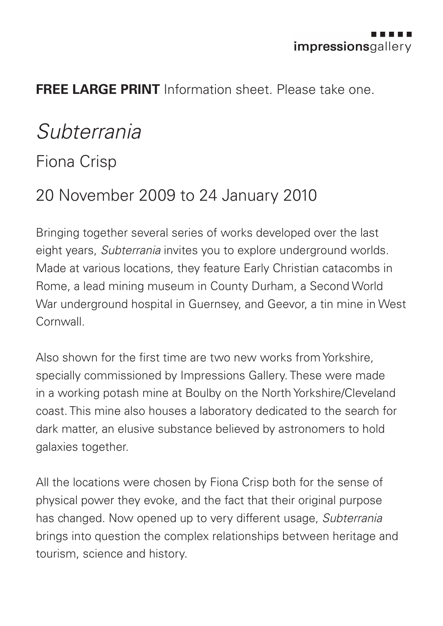

## **FREE LARGE PRINT** Information sheet. Please take one.

## *Subterrania*

## Fiona Crisp

## 20 November 2009 to 24 January 2010

Bringing together several series of works developed over the last eight years, *Subterrania* invites you to explore underground worlds. Made at various locations, they feature Early Christian catacombs in Rome, a lead mining museum in County Durham, a Second World War underground hospital in Guernsey, and Geevor, a tin mine in West Cornwall.

Also shown for the first time are two new works from Yorkshire, specially commissioned by Impressions Gallery. These were made in a working potash mine at Boulby on the North Yorkshire/Cleveland coast. This mine also houses a laboratory dedicated to the search for dark matter, an elusive substance believed by astronomers to hold galaxies together.

All the locations were chosen by Fiona Crisp both for the sense of physical power they evoke, and the fact that their original purpose has changed. Now opened up to very different usage, *Subterrania* brings into question the complex relationships between heritage and tourism, science and history.